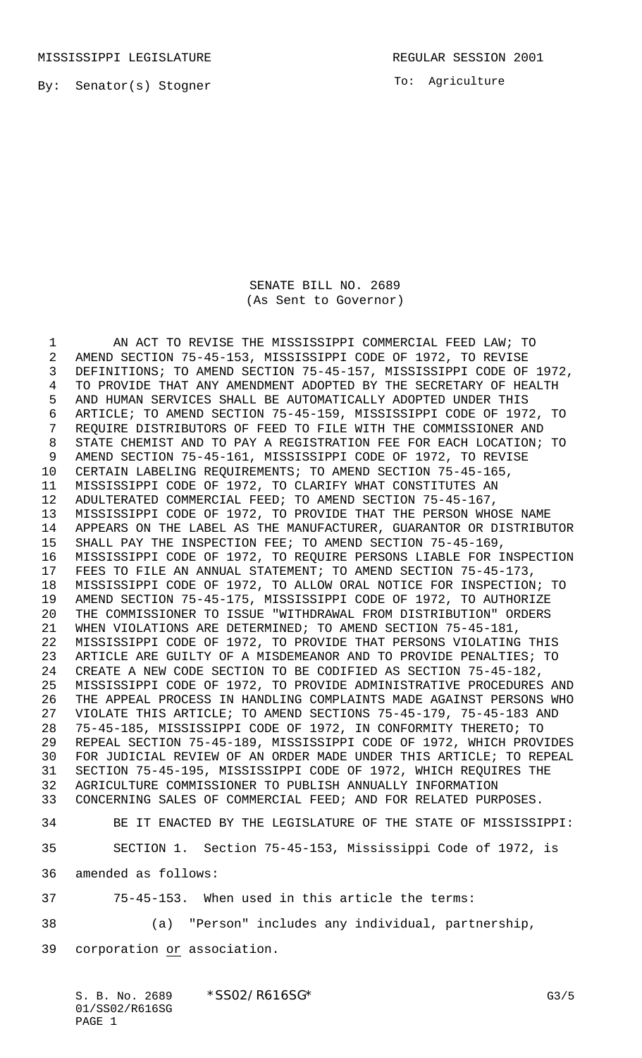MISSISSIPPI LEGISLATURE **REGULAR SESSION 2001** 

By: Senator(s) Stogner

To: Agriculture

SENATE BILL NO. 2689 (As Sent to Governor)

 AN ACT TO REVISE THE MISSISSIPPI COMMERCIAL FEED LAW; TO AMEND SECTION 75-45-153, MISSISSIPPI CODE OF 1972, TO REVISE DEFINITIONS; TO AMEND SECTION 75-45-157, MISSISSIPPI CODE OF 1972, TO PROVIDE THAT ANY AMENDMENT ADOPTED BY THE SECRETARY OF HEALTH AND HUMAN SERVICES SHALL BE AUTOMATICALLY ADOPTED UNDER THIS ARTICLE; TO AMEND SECTION 75-45-159, MISSISSIPPI CODE OF 1972, TO REQUIRE DISTRIBUTORS OF FEED TO FILE WITH THE COMMISSIONER AND STATE CHEMIST AND TO PAY A REGISTRATION FEE FOR EACH LOCATION; TO AMEND SECTION 75-45-161, MISSISSIPPI CODE OF 1972, TO REVISE CERTAIN LABELING REQUIREMENTS; TO AMEND SECTION 75-45-165, MISSISSIPPI CODE OF 1972, TO CLARIFY WHAT CONSTITUTES AN ADULTERATED COMMERCIAL FEED; TO AMEND SECTION 75-45-167, MISSISSIPPI CODE OF 1972, TO PROVIDE THAT THE PERSON WHOSE NAME APPEARS ON THE LABEL AS THE MANUFACTURER, GUARANTOR OR DISTRIBUTOR SHALL PAY THE INSPECTION FEE; TO AMEND SECTION 75-45-169, MISSISSIPPI CODE OF 1972, TO REQUIRE PERSONS LIABLE FOR INSPECTION FEES TO FILE AN ANNUAL STATEMENT; TO AMEND SECTION 75-45-173, MISSISSIPPI CODE OF 1972, TO ALLOW ORAL NOTICE FOR INSPECTION; TO AMEND SECTION 75-45-175, MISSISSIPPI CODE OF 1972, TO AUTHORIZE THE COMMISSIONER TO ISSUE "WITHDRAWAL FROM DISTRIBUTION" ORDERS WHEN VIOLATIONS ARE DETERMINED; TO AMEND SECTION 75-45-181, MISSISSIPPI CODE OF 1972, TO PROVIDE THAT PERSONS VIOLATING THIS ARTICLE ARE GUILTY OF A MISDEMEANOR AND TO PROVIDE PENALTIES; TO CREATE A NEW CODE SECTION TO BE CODIFIED AS SECTION 75-45-182, MISSISSIPPI CODE OF 1972, TO PROVIDE ADMINISTRATIVE PROCEDURES AND THE APPEAL PROCESS IN HANDLING COMPLAINTS MADE AGAINST PERSONS WHO VIOLATE THIS ARTICLE; TO AMEND SECTIONS 75-45-179, 75-45-183 AND 75-45-185, MISSISSIPPI CODE OF 1972, IN CONFORMITY THERETO; TO REPEAL SECTION 75-45-189, MISSISSIPPI CODE OF 1972, WHICH PROVIDES FOR JUDICIAL REVIEW OF AN ORDER MADE UNDER THIS ARTICLE; TO REPEAL SECTION 75-45-195, MISSISSIPPI CODE OF 1972, WHICH REQUIRES THE AGRICULTURE COMMISSIONER TO PUBLISH ANNUALLY INFORMATION CONCERNING SALES OF COMMERCIAL FEED; AND FOR RELATED PURPOSES. BE IT ENACTED BY THE LEGISLATURE OF THE STATE OF MISSISSIPPI:

SECTION 1. Section 75-45-153, Mississippi Code of 1972, is

amended as follows:

75-45-153. When used in this article the terms:

(a) "Person" includes any individual, partnership,

corporation or association.

S. B. No. 2689 \* SSO2/R616SG\* G3/5 01/SS02/R616SG PAGE 1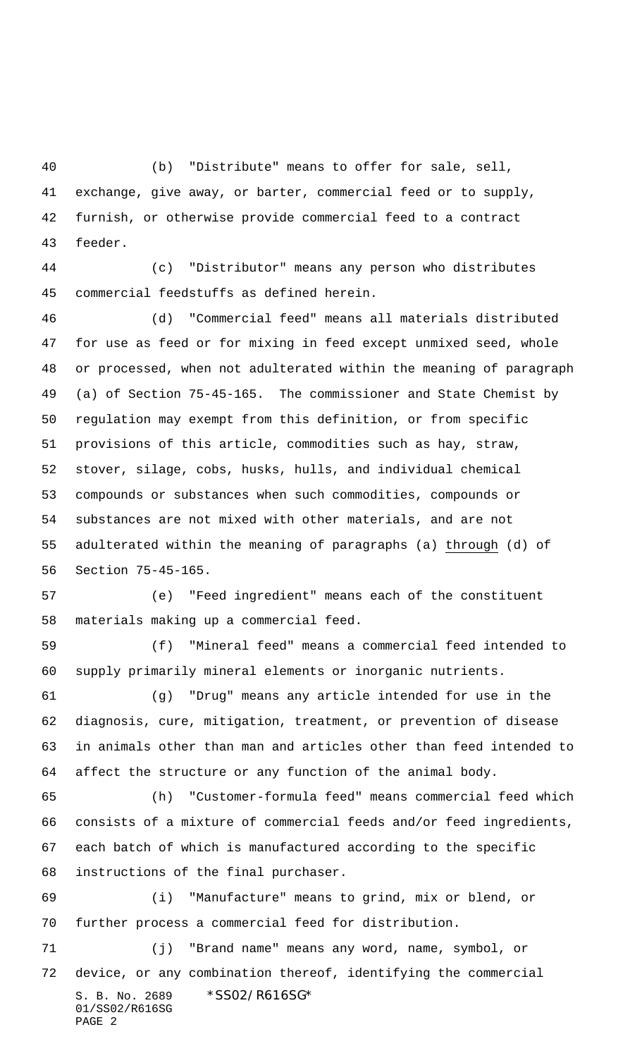(b) "Distribute" means to offer for sale, sell, exchange, give away, or barter, commercial feed or to supply, furnish, or otherwise provide commercial feed to a contract feeder.

 (c) "Distributor" means any person who distributes commercial feedstuffs as defined herein.

 (d) "Commercial feed" means all materials distributed for use as feed or for mixing in feed except unmixed seed, whole or processed, when not adulterated within the meaning of paragraph (a) of Section 75-45-165. The commissioner and State Chemist by regulation may exempt from this definition, or from specific provisions of this article, commodities such as hay, straw, stover, silage, cobs, husks, hulls, and individual chemical compounds or substances when such commodities, compounds or substances are not mixed with other materials, and are not adulterated within the meaning of paragraphs (a) through (d) of Section 75-45-165.

 (e) "Feed ingredient" means each of the constituent materials making up a commercial feed.

 (f) "Mineral feed" means a commercial feed intended to supply primarily mineral elements or inorganic nutrients.

 (g) "Drug" means any article intended for use in the diagnosis, cure, mitigation, treatment, or prevention of disease in animals other than man and articles other than feed intended to affect the structure or any function of the animal body.

 (h) "Customer-formula feed" means commercial feed which consists of a mixture of commercial feeds and/or feed ingredients, each batch of which is manufactured according to the specific instructions of the final purchaser.

 (i) "Manufacture" means to grind, mix or blend, or further process a commercial feed for distribution.

S. B. No. 2689 \*SS02/R616SG\* 01/SS02/R616SG PAGE 2 (j) "Brand name" means any word, name, symbol, or device, or any combination thereof, identifying the commercial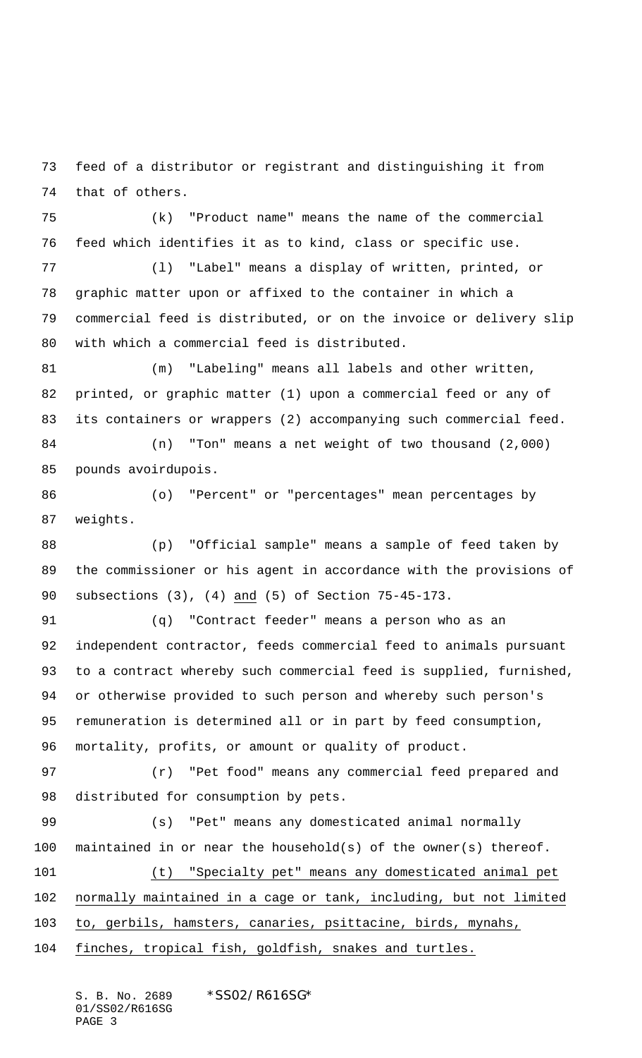feed of a distributor or registrant and distinguishing it from that of others.

 (k) "Product name" means the name of the commercial feed which identifies it as to kind, class or specific use.

 (l) "Label" means a display of written, printed, or graphic matter upon or affixed to the container in which a commercial feed is distributed, or on the invoice or delivery slip with which a commercial feed is distributed.

 (m) "Labeling" means all labels and other written, printed, or graphic matter (1) upon a commercial feed or any of its containers or wrappers (2) accompanying such commercial feed.

 (n) "Ton" means a net weight of two thousand (2,000) pounds avoirdupois.

 (o) "Percent" or "percentages" mean percentages by weights.

 (p) "Official sample" means a sample of feed taken by the commissioner or his agent in accordance with the provisions of subsections (3), (4) and (5) of Section 75-45-173.

 (q) "Contract feeder" means a person who as an independent contractor, feeds commercial feed to animals pursuant to a contract whereby such commercial feed is supplied, furnished, or otherwise provided to such person and whereby such person's remuneration is determined all or in part by feed consumption, mortality, profits, or amount or quality of product.

 (r) "Pet food" means any commercial feed prepared and distributed for consumption by pets.

 (s) "Pet" means any domesticated animal normally maintained in or near the household(s) of the owner(s) thereof.

 (t) "Specialty pet" means any domesticated animal pet normally maintained in a cage or tank, including, but not limited

to, gerbils, hamsters, canaries, psittacine, birds, mynahs,

finches, tropical fish, goldfish, snakes and turtles.

S. B. No. 2689 \*SS02/R616SG\* 01/SS02/R616SG PAGE 3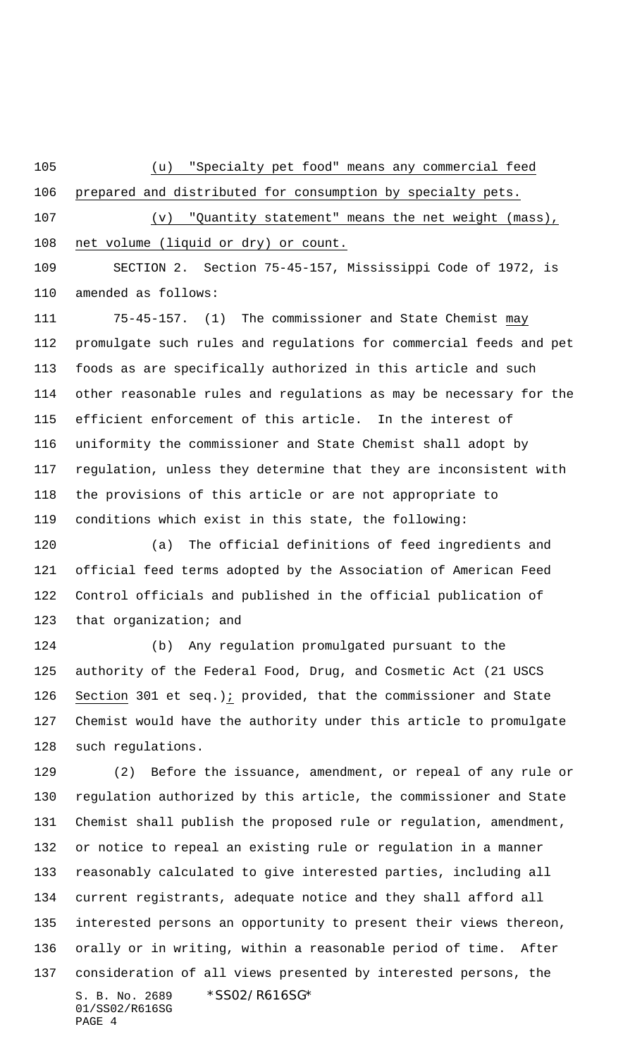(u) "Specialty pet food" means any commercial feed prepared and distributed for consumption by specialty pets. (v) "Quantity statement" means the net weight (mass), net volume (liquid or dry) or count.

 SECTION 2. Section 75-45-157, Mississippi Code of 1972, is amended as follows:

 75-45-157. (1) The commissioner and State Chemist may promulgate such rules and regulations for commercial feeds and pet foods as are specifically authorized in this article and such other reasonable rules and regulations as may be necessary for the efficient enforcement of this article. In the interest of uniformity the commissioner and State Chemist shall adopt by regulation, unless they determine that they are inconsistent with the provisions of this article or are not appropriate to conditions which exist in this state, the following:

 (a) The official definitions of feed ingredients and official feed terms adopted by the Association of American Feed Control officials and published in the official publication of that organization; and

 (b) Any regulation promulgated pursuant to the authority of the Federal Food, Drug, and Cosmetic Act (21 USCS Section 301 et seq.); provided, that the commissioner and State Chemist would have the authority under this article to promulgate such regulations.

S. B. No. 2689 \*SS02/R616SG\* 01/SS02/R616SG PAGE 4 (2) Before the issuance, amendment, or repeal of any rule or regulation authorized by this article, the commissioner and State Chemist shall publish the proposed rule or regulation, amendment, or notice to repeal an existing rule or regulation in a manner reasonably calculated to give interested parties, including all current registrants, adequate notice and they shall afford all interested persons an opportunity to present their views thereon, orally or in writing, within a reasonable period of time. After consideration of all views presented by interested persons, the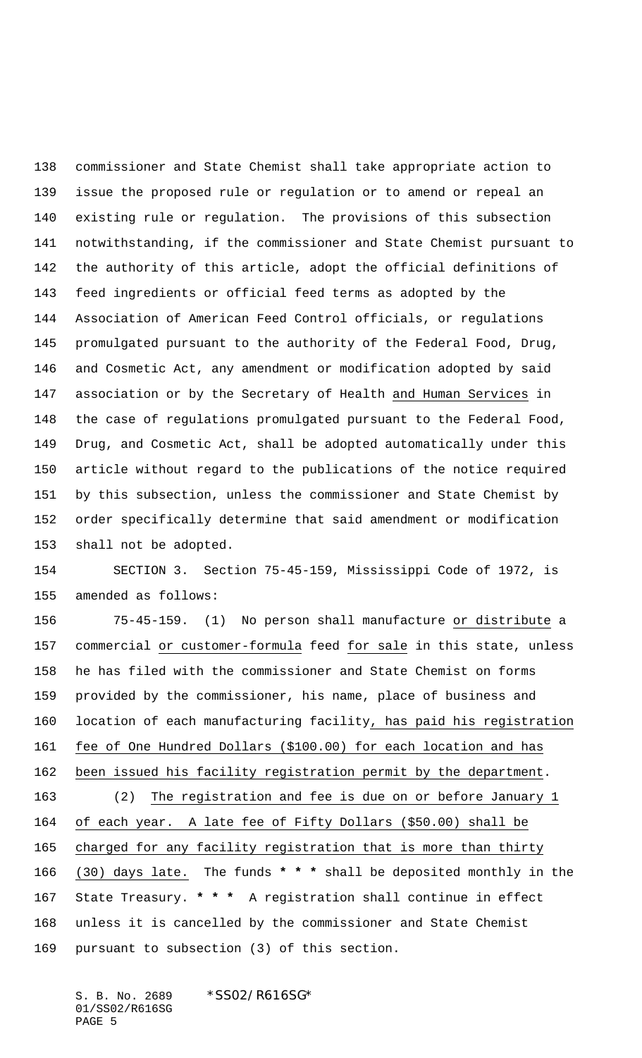commissioner and State Chemist shall take appropriate action to issue the proposed rule or regulation or to amend or repeal an existing rule or regulation. The provisions of this subsection notwithstanding, if the commissioner and State Chemist pursuant to the authority of this article, adopt the official definitions of feed ingredients or official feed terms as adopted by the Association of American Feed Control officials, or regulations promulgated pursuant to the authority of the Federal Food, Drug, and Cosmetic Act, any amendment or modification adopted by said association or by the Secretary of Health and Human Services in the case of regulations promulgated pursuant to the Federal Food, Drug, and Cosmetic Act, shall be adopted automatically under this article without regard to the publications of the notice required by this subsection, unless the commissioner and State Chemist by order specifically determine that said amendment or modification shall not be adopted.

 SECTION 3. Section 75-45-159, Mississippi Code of 1972, is amended as follows:

 75-45-159. (1) No person shall manufacture or distribute a commercial or customer-formula feed for sale in this state, unless he has filed with the commissioner and State Chemist on forms provided by the commissioner, his name, place of business and location of each manufacturing facility, has paid his registration fee of One Hundred Dollars (\$100.00) for each location and has been issued his facility registration permit by the department. (2) The registration and fee is due on or before January 1 of each year. A late fee of Fifty Dollars (\$50.00) shall be

165 charged for any facility registration that is more than thirty (30) days late. The funds **\* \* \*** shall be deposited monthly in the State Treasury. **\* \* \*** A registration shall continue in effect unless it is cancelled by the commissioner and State Chemist pursuant to subsection (3) of this section.

S. B. No. 2689 \*SS02/R616SG\* 01/SS02/R616SG PAGE 5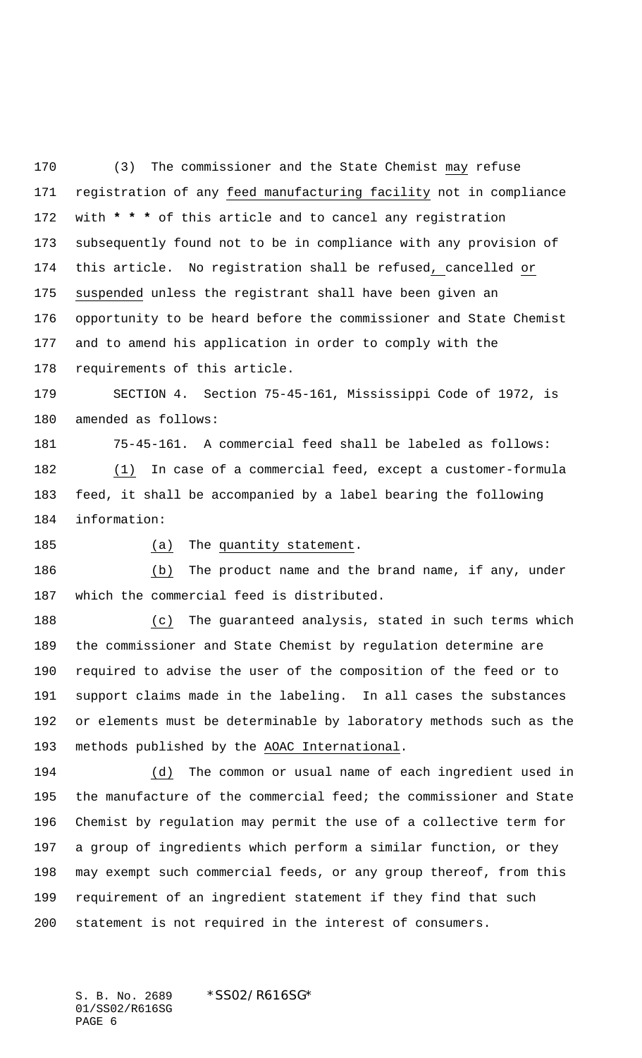(3) The commissioner and the State Chemist may refuse registration of any feed manufacturing facility not in compliance with **\* \* \*** of this article and to cancel any registration subsequently found not to be in compliance with any provision of this article. No registration shall be refused, cancelled or suspended unless the registrant shall have been given an opportunity to be heard before the commissioner and State Chemist and to amend his application in order to comply with the requirements of this article.

 SECTION 4. Section 75-45-161, Mississippi Code of 1972, is amended as follows:

 75-45-161. A commercial feed shall be labeled as follows: (1) In case of a commercial feed, except a customer-formula feed, it shall be accompanied by a label bearing the following information:

185 (a) The quantity statement.

 (b) The product name and the brand name, if any, under which the commercial feed is distributed.

 (c) The guaranteed analysis, stated in such terms which the commissioner and State Chemist by regulation determine are required to advise the user of the composition of the feed or to support claims made in the labeling. In all cases the substances or elements must be determinable by laboratory methods such as the methods published by the AOAC International.

 (d) The common or usual name of each ingredient used in the manufacture of the commercial feed; the commissioner and State Chemist by regulation may permit the use of a collective term for a group of ingredients which perform a similar function, or they may exempt such commercial feeds, or any group thereof, from this requirement of an ingredient statement if they find that such statement is not required in the interest of consumers.

S. B. No. 2689 \*SS02/R616SG\* 01/SS02/R616SG PAGE 6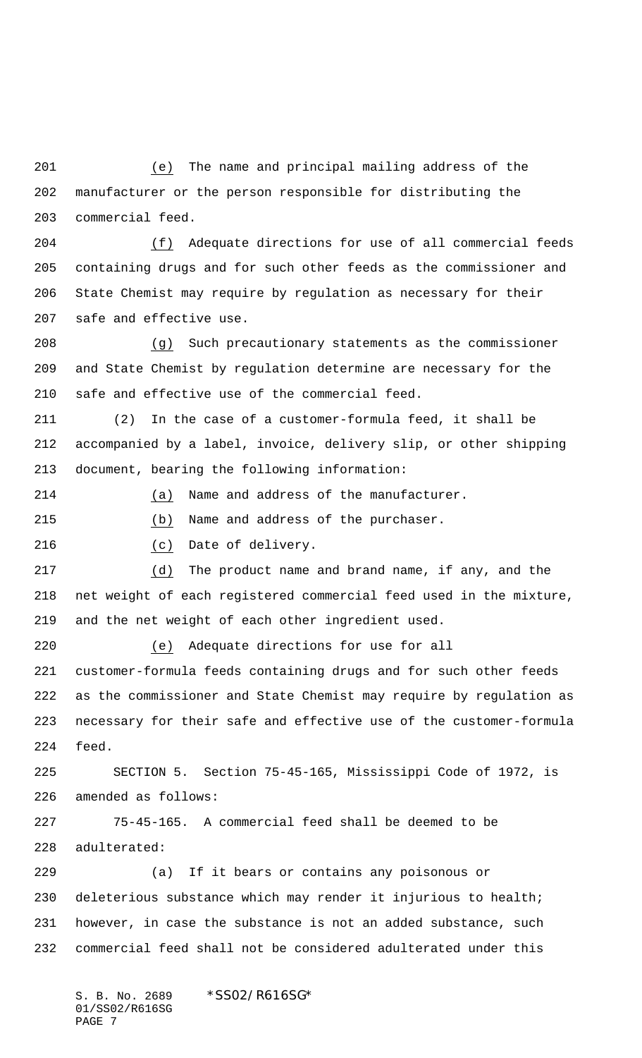(e) The name and principal mailing address of the manufacturer or the person responsible for distributing the commercial feed.

 (f) Adequate directions for use of all commercial feeds containing drugs and for such other feeds as the commissioner and State Chemist may require by regulation as necessary for their safe and effective use.

 (g) Such precautionary statements as the commissioner and State Chemist by regulation determine are necessary for the safe and effective use of the commercial feed.

 (2) In the case of a customer-formula feed, it shall be accompanied by a label, invoice, delivery slip, or other shipping document, bearing the following information:

(a) Name and address of the manufacturer.

(b) Name and address of the purchaser.

(c) Date of delivery.

 (d) The product name and brand name, if any, and the net weight of each registered commercial feed used in the mixture, and the net weight of each other ingredient used.

 (e) Adequate directions for use for all customer-formula feeds containing drugs and for such other feeds as the commissioner and State Chemist may require by regulation as necessary for their safe and effective use of the customer-formula feed.

 SECTION 5. Section 75-45-165, Mississippi Code of 1972, is amended as follows:

 75-45-165. A commercial feed shall be deemed to be adulterated:

 (a) If it bears or contains any poisonous or deleterious substance which may render it injurious to health; however, in case the substance is not an added substance, such commercial feed shall not be considered adulterated under this

S. B. No. 2689 \*SS02/R616SG\* 01/SS02/R616SG PAGE 7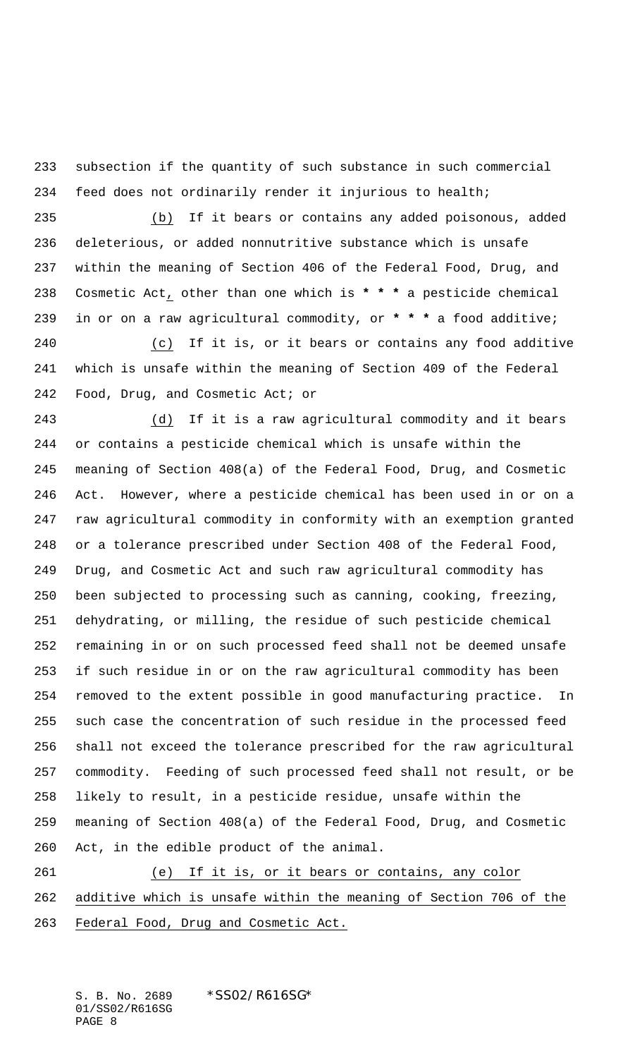subsection if the quantity of such substance in such commercial feed does not ordinarily render it injurious to health;

 (b) If it bears or contains any added poisonous, added deleterious, or added nonnutritive substance which is unsafe within the meaning of Section 406 of the Federal Food, Drug, and Cosmetic Act, other than one which is **\* \* \*** a pesticide chemical in or on a raw agricultural commodity, or **\* \* \*** a food additive;

 (c) If it is, or it bears or contains any food additive which is unsafe within the meaning of Section 409 of the Federal Food, Drug, and Cosmetic Act; or

 (d) If it is a raw agricultural commodity and it bears or contains a pesticide chemical which is unsafe within the meaning of Section 408(a) of the Federal Food, Drug, and Cosmetic Act. However, where a pesticide chemical has been used in or on a raw agricultural commodity in conformity with an exemption granted or a tolerance prescribed under Section 408 of the Federal Food, Drug, and Cosmetic Act and such raw agricultural commodity has been subjected to processing such as canning, cooking, freezing, dehydrating, or milling, the residue of such pesticide chemical remaining in or on such processed feed shall not be deemed unsafe if such residue in or on the raw agricultural commodity has been removed to the extent possible in good manufacturing practice. In such case the concentration of such residue in the processed feed shall not exceed the tolerance prescribed for the raw agricultural commodity. Feeding of such processed feed shall not result, or be likely to result, in a pesticide residue, unsafe within the meaning of Section 408(a) of the Federal Food, Drug, and Cosmetic Act, in the edible product of the animal.

 (e) If it is, or it bears or contains, any color additive which is unsafe within the meaning of Section 706 of the Federal Food, Drug and Cosmetic Act.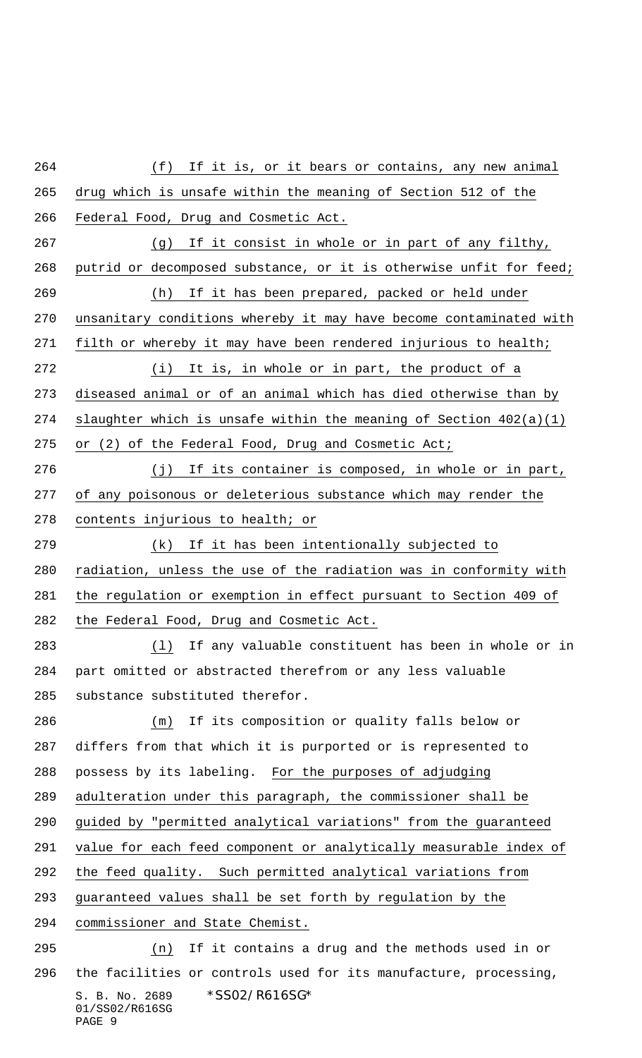| 264 | (f)<br>If it is, or it bears or contains, any new animal            |
|-----|---------------------------------------------------------------------|
| 265 | drug which is unsafe within the meaning of Section 512 of the       |
| 266 | Federal Food, Drug and Cosmetic Act.                                |
| 267 | If it consist in whole or in part of any filthy,<br>(g)             |
| 268 | putrid or decomposed substance, or it is otherwise unfit for feed;  |
| 269 | (h) If it has been prepared, packed or held under                   |
| 270 | unsanitary conditions whereby it may have become contaminated with  |
| 271 | filth or whereby it may have been rendered injurious to health;     |
| 272 | (i) It is, in whole or in part, the product of a                    |
| 273 | diseased animal or of an animal which has died otherwise than by    |
| 274 | slaughter which is unsafe within the meaning of Section $402(a)(1)$ |
| 275 | or (2) of the Federal Food, Drug and Cosmetic Act;                  |
| 276 | (j) If its container is composed, in whole or in part,              |
| 277 | of any poisonous or deleterious substance which may render the      |
| 278 | contents injurious to health; or                                    |
| 279 | (k) If it has been intentionally subjected to                       |
| 280 | radiation, unless the use of the radiation was in conformity with   |
| 281 | the regulation or exemption in effect pursuant to Section 409 of    |
| 282 | the Federal Food, Drug and Cosmetic Act.                            |
| 283 | If any valuable constituent has been in whole or in<br>(1)          |
| 284 | part omitted or abstracted therefrom or any less valuable           |
| 285 | substance substituted therefor.                                     |
| 286 | If its composition or quality falls below or<br>(m)                 |
| 287 | differs from that which it is purported or is represented to        |
| 288 | possess by its labeling. For the purposes of adjudging              |
| 289 | adulteration under this paragraph, the commissioner shall be        |
| 290 | guided by "permitted analytical variations" from the guaranteed     |
| 291 | value for each feed component or analytically measurable index of   |
| 292 | the feed quality. Such permitted analytical variations from         |
| 293 | guaranteed values shall be set forth by regulation by the           |
| 294 | commissioner and State Chemist.                                     |
| 295 | If it contains a drug and the methods used in or<br>(n)             |
| 296 | the facilities or controls used for its manufacture, processing,    |
|     | *SS02/R616SG*<br>S. B. No. 2689<br>01/SS02/R616SG<br>PAGE 9         |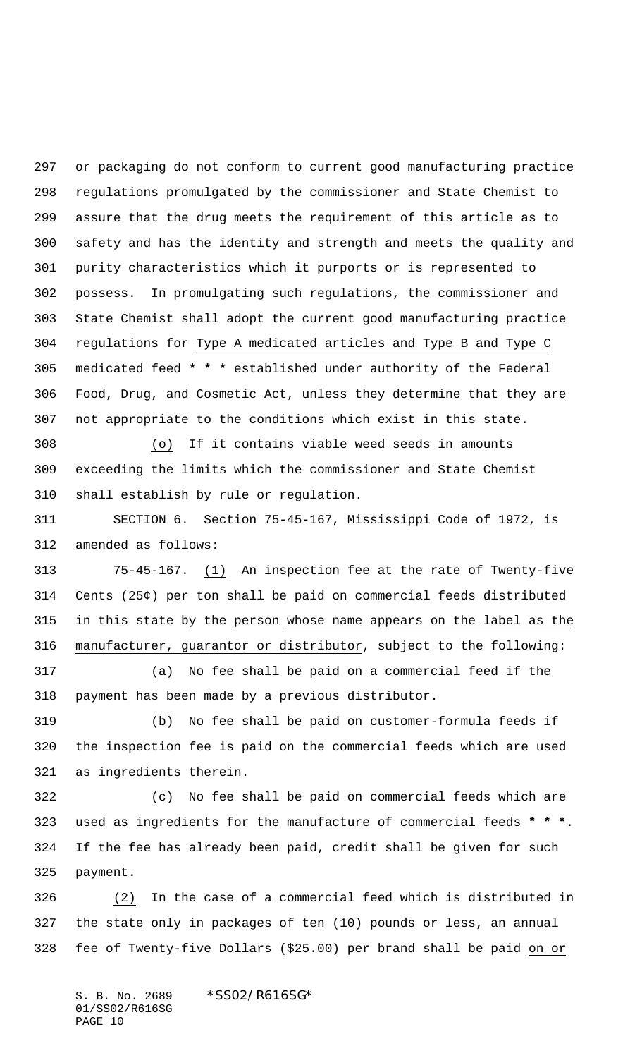or packaging do not conform to current good manufacturing practice regulations promulgated by the commissioner and State Chemist to assure that the drug meets the requirement of this article as to safety and has the identity and strength and meets the quality and purity characteristics which it purports or is represented to possess. In promulgating such regulations, the commissioner and State Chemist shall adopt the current good manufacturing practice regulations for Type A medicated articles and Type B and Type C medicated feed **\* \* \*** established under authority of the Federal Food, Drug, and Cosmetic Act, unless they determine that they are not appropriate to the conditions which exist in this state.

 (o) If it contains viable weed seeds in amounts exceeding the limits which the commissioner and State Chemist shall establish by rule or regulation.

 SECTION 6. Section 75-45-167, Mississippi Code of 1972, is amended as follows:

 75-45-167. (1) An inspection fee at the rate of Twenty-five Cents (25¢) per ton shall be paid on commercial feeds distributed in this state by the person whose name appears on the label as the manufacturer, guarantor or distributor, subject to the following:

 (a) No fee shall be paid on a commercial feed if the payment has been made by a previous distributor.

 (b) No fee shall be paid on customer-formula feeds if the inspection fee is paid on the commercial feeds which are used as ingredients therein.

 (c) No fee shall be paid on commercial feeds which are used as ingredients for the manufacture of commercial feeds **\* \* \***. If the fee has already been paid, credit shall be given for such payment.

 (2) In the case of a commercial feed which is distributed in the state only in packages of ten (10) pounds or less, an annual fee of Twenty-five Dollars (\$25.00) per brand shall be paid on or

S. B. No. 2689 \* SS02/R616SG\* 01/SS02/R616SG PAGE 10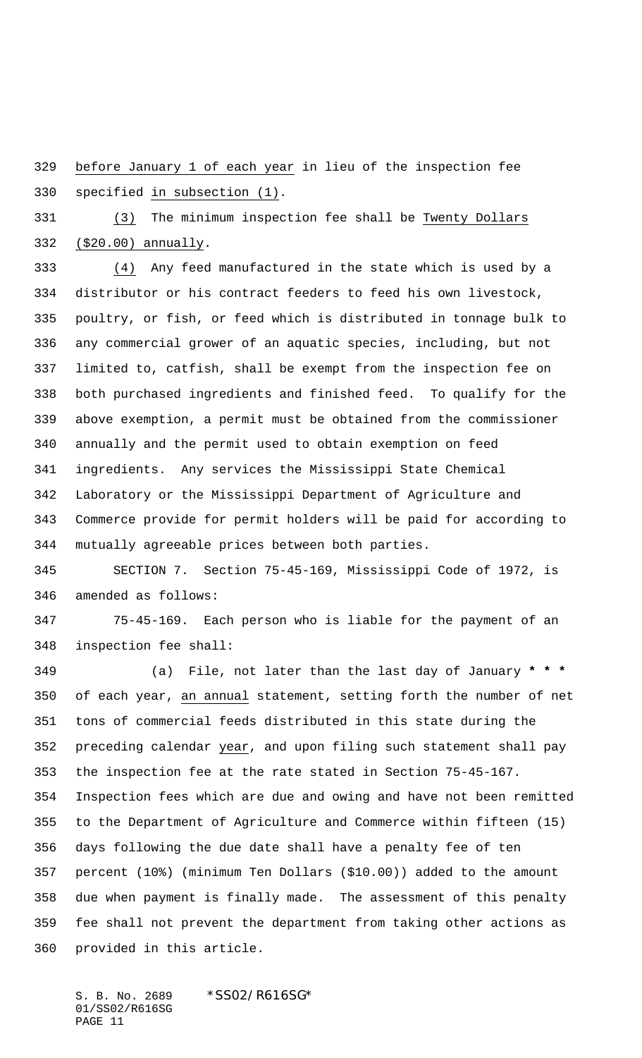before January 1 of each year in lieu of the inspection fee specified in subsection (1).

 (3) The minimum inspection fee shall be Twenty Dollars (\$20.00) annually.

 (4) Any feed manufactured in the state which is used by a distributor or his contract feeders to feed his own livestock, poultry, or fish, or feed which is distributed in tonnage bulk to any commercial grower of an aquatic species, including, but not limited to, catfish, shall be exempt from the inspection fee on both purchased ingredients and finished feed. To qualify for the above exemption, a permit must be obtained from the commissioner annually and the permit used to obtain exemption on feed ingredients. Any services the Mississippi State Chemical Laboratory or the Mississippi Department of Agriculture and Commerce provide for permit holders will be paid for according to mutually agreeable prices between both parties.

 SECTION 7. Section 75-45-169, Mississippi Code of 1972, is amended as follows:

 75-45-169. Each person who is liable for the payment of an inspection fee shall:

 (a) File, not later than the last day of January **\* \* \*** of each year, an annual statement, setting forth the number of net tons of commercial feeds distributed in this state during the preceding calendar year, and upon filing such statement shall pay the inspection fee at the rate stated in Section 75-45-167. Inspection fees which are due and owing and have not been remitted to the Department of Agriculture and Commerce within fifteen (15) days following the due date shall have a penalty fee of ten percent (10%) (minimum Ten Dollars (\$10.00)) added to the amount due when payment is finally made. The assessment of this penalty fee shall not prevent the department from taking other actions as provided in this article.

S. B. No. 2689 \*SS02/R616SG\* 01/SS02/R616SG PAGE 11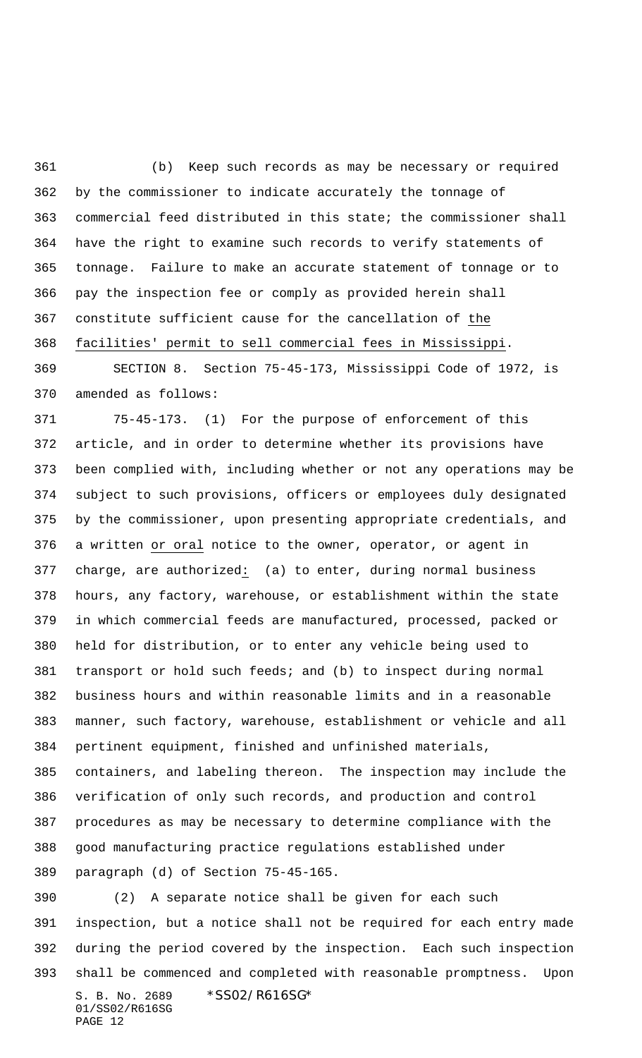(b) Keep such records as may be necessary or required by the commissioner to indicate accurately the tonnage of commercial feed distributed in this state; the commissioner shall have the right to examine such records to verify statements of tonnage. Failure to make an accurate statement of tonnage or to pay the inspection fee or comply as provided herein shall 367 constitute sufficient cause for the cancellation of the facilities' permit to sell commercial fees in Mississippi.

 SECTION 8. Section 75-45-173, Mississippi Code of 1972, is amended as follows:

 75-45-173. (1) For the purpose of enforcement of this article, and in order to determine whether its provisions have been complied with, including whether or not any operations may be subject to such provisions, officers or employees duly designated by the commissioner, upon presenting appropriate credentials, and a written or oral notice to the owner, operator, or agent in charge, are authorized: (a) to enter, during normal business hours, any factory, warehouse, or establishment within the state in which commercial feeds are manufactured, processed, packed or held for distribution, or to enter any vehicle being used to transport or hold such feeds; and (b) to inspect during normal business hours and within reasonable limits and in a reasonable manner, such factory, warehouse, establishment or vehicle and all pertinent equipment, finished and unfinished materials, containers, and labeling thereon. The inspection may include the verification of only such records, and production and control procedures as may be necessary to determine compliance with the good manufacturing practice regulations established under paragraph (d) of Section 75-45-165.

S. B. No. 2689 \*SS02/R616SG\* 01/SS02/R616SG PAGE 12 (2) A separate notice shall be given for each such inspection, but a notice shall not be required for each entry made during the period covered by the inspection. Each such inspection shall be commenced and completed with reasonable promptness. Upon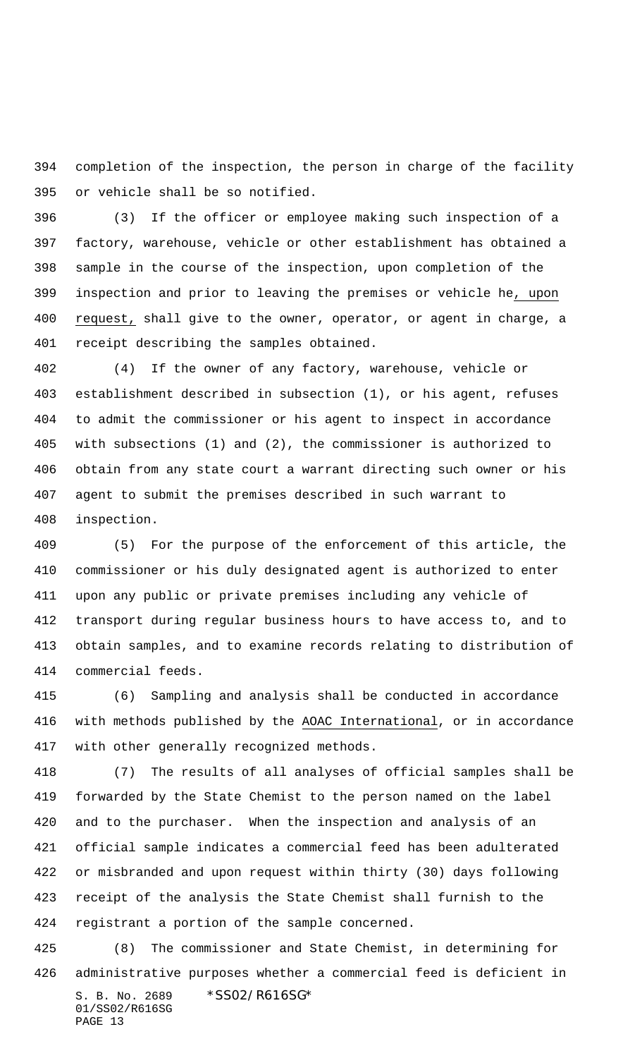completion of the inspection, the person in charge of the facility or vehicle shall be so notified.

 (3) If the officer or employee making such inspection of a factory, warehouse, vehicle or other establishment has obtained a sample in the course of the inspection, upon completion of the inspection and prior to leaving the premises or vehicle he, upon request, shall give to the owner, operator, or agent in charge, a receipt describing the samples obtained.

 (4) If the owner of any factory, warehouse, vehicle or establishment described in subsection (1), or his agent, refuses to admit the commissioner or his agent to inspect in accordance with subsections (1) and (2), the commissioner is authorized to obtain from any state court a warrant directing such owner or his agent to submit the premises described in such warrant to inspection.

 (5) For the purpose of the enforcement of this article, the commissioner or his duly designated agent is authorized to enter upon any public or private premises including any vehicle of transport during regular business hours to have access to, and to obtain samples, and to examine records relating to distribution of commercial feeds.

 (6) Sampling and analysis shall be conducted in accordance with methods published by the AOAC International, or in accordance with other generally recognized methods.

 (7) The results of all analyses of official samples shall be forwarded by the State Chemist to the person named on the label and to the purchaser. When the inspection and analysis of an official sample indicates a commercial feed has been adulterated or misbranded and upon request within thirty (30) days following receipt of the analysis the State Chemist shall furnish to the registrant a portion of the sample concerned.

S. B. No. 2689 \*SS02/R616SG\* 01/SS02/R616SG (8) The commissioner and State Chemist, in determining for administrative purposes whether a commercial feed is deficient in

PAGE 13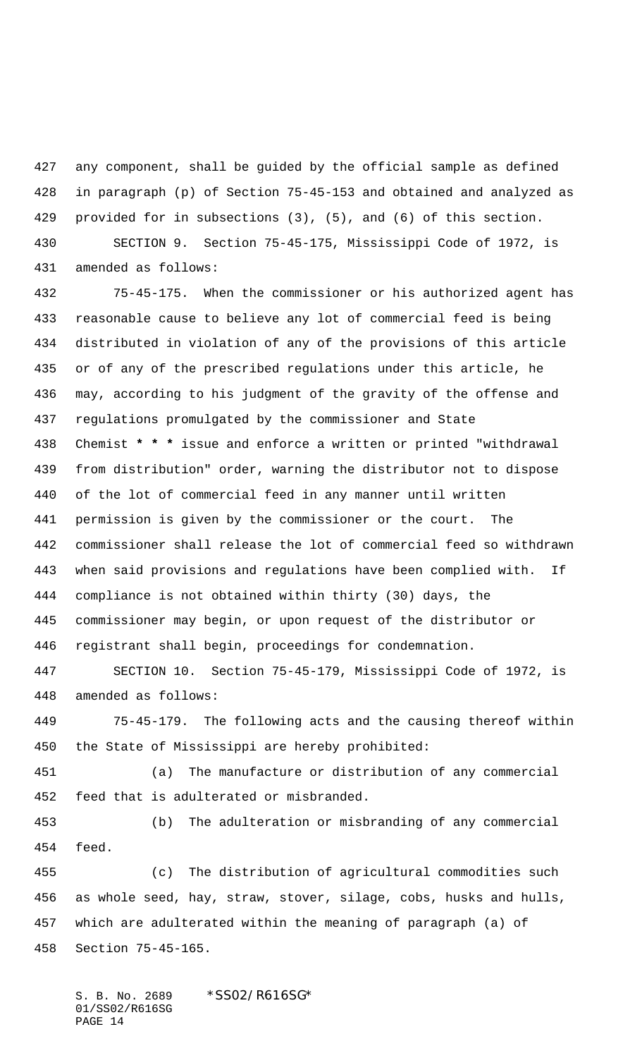any component, shall be guided by the official sample as defined in paragraph (p) of Section 75-45-153 and obtained and analyzed as provided for in subsections (3), (5), and (6) of this section. SECTION 9. Section 75-45-175, Mississippi Code of 1972, is

amended as follows:

 75-45-175. When the commissioner or his authorized agent has reasonable cause to believe any lot of commercial feed is being distributed in violation of any of the provisions of this article or of any of the prescribed regulations under this article, he may, according to his judgment of the gravity of the offense and regulations promulgated by the commissioner and State Chemist **\* \* \*** issue and enforce a written or printed "withdrawal from distribution" order, warning the distributor not to dispose of the lot of commercial feed in any manner until written permission is given by the commissioner or the court. The commissioner shall release the lot of commercial feed so withdrawn when said provisions and regulations have been complied with. If compliance is not obtained within thirty (30) days, the commissioner may begin, or upon request of the distributor or registrant shall begin, proceedings for condemnation.

 SECTION 10. Section 75-45-179, Mississippi Code of 1972, is amended as follows:

 75-45-179. The following acts and the causing thereof within the State of Mississippi are hereby prohibited:

 (a) The manufacture or distribution of any commercial feed that is adulterated or misbranded.

 (b) The adulteration or misbranding of any commercial feed.

 (c) The distribution of agricultural commodities such as whole seed, hay, straw, stover, silage, cobs, husks and hulls, which are adulterated within the meaning of paragraph (a) of Section 75-45-165.

S. B. No. 2689 \* SS02/R616SG\* 01/SS02/R616SG PAGE 14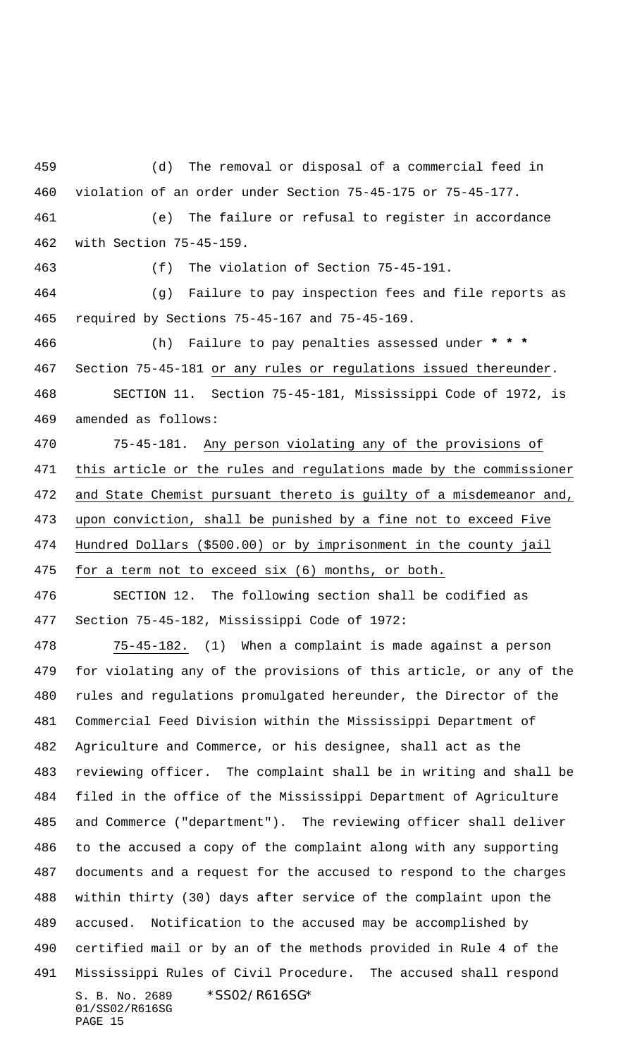(d) The removal or disposal of a commercial feed in violation of an order under Section 75-45-175 or 75-45-177. (e) The failure or refusal to register in accordance with Section 75-45-159.

(f) The violation of Section 75-45-191.

 (g) Failure to pay inspection fees and file reports as required by Sections 75-45-167 and 75-45-169.

 (h) Failure to pay penalties assessed under **\* \* \*** Section 75-45-181 or any rules or regulations issued thereunder. SECTION 11. Section 75-45-181, Mississippi Code of 1972, is amended as follows:

 75-45-181. Any person violating any of the provisions of this article or the rules and regulations made by the commissioner and State Chemist pursuant thereto is guilty of a misdemeanor and, upon conviction, shall be punished by a fine not to exceed Five Hundred Dollars (\$500.00) or by imprisonment in the county jail for a term not to exceed six (6) months, or both.

 SECTION 12. The following section shall be codified as Section 75-45-182, Mississippi Code of 1972:

S. B. No. 2689 \* SS02/R616SG\* 01/SS02/R616SG 75-45-182. (1) When a complaint is made against a person for violating any of the provisions of this article, or any of the rules and regulations promulgated hereunder, the Director of the Commercial Feed Division within the Mississippi Department of Agriculture and Commerce, or his designee, shall act as the reviewing officer. The complaint shall be in writing and shall be filed in the office of the Mississippi Department of Agriculture and Commerce ("department"). The reviewing officer shall deliver to the accused a copy of the complaint along with any supporting documents and a request for the accused to respond to the charges within thirty (30) days after service of the complaint upon the accused. Notification to the accused may be accomplished by certified mail or by an of the methods provided in Rule 4 of the Mississippi Rules of Civil Procedure. The accused shall respond

PAGE 15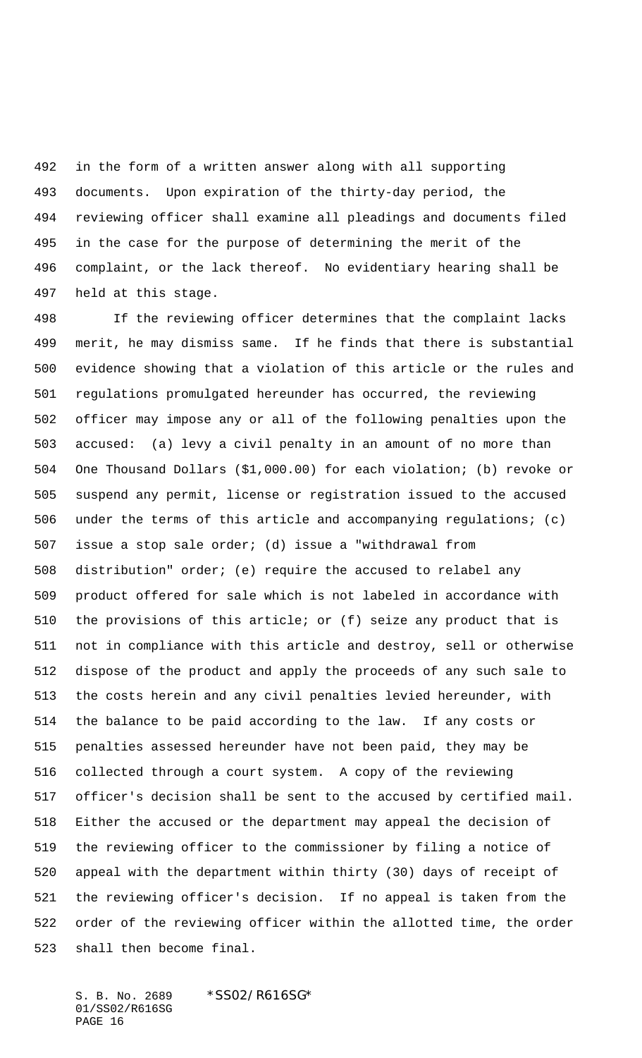in the form of a written answer along with all supporting documents. Upon expiration of the thirty-day period, the reviewing officer shall examine all pleadings and documents filed in the case for the purpose of determining the merit of the complaint, or the lack thereof. No evidentiary hearing shall be held at this stage.

 If the reviewing officer determines that the complaint lacks merit, he may dismiss same. If he finds that there is substantial evidence showing that a violation of this article or the rules and regulations promulgated hereunder has occurred, the reviewing officer may impose any or all of the following penalties upon the accused: (a) levy a civil penalty in an amount of no more than One Thousand Dollars (\$1,000.00) for each violation; (b) revoke or suspend any permit, license or registration issued to the accused under the terms of this article and accompanying regulations; (c) issue a stop sale order; (d) issue a "withdrawal from distribution" order; (e) require the accused to relabel any product offered for sale which is not labeled in accordance with the provisions of this article; or (f) seize any product that is not in compliance with this article and destroy, sell or otherwise dispose of the product and apply the proceeds of any such sale to the costs herein and any civil penalties levied hereunder, with the balance to be paid according to the law. If any costs or penalties assessed hereunder have not been paid, they may be collected through a court system. A copy of the reviewing officer's decision shall be sent to the accused by certified mail. Either the accused or the department may appeal the decision of the reviewing officer to the commissioner by filing a notice of appeal with the department within thirty (30) days of receipt of the reviewing officer's decision. If no appeal is taken from the order of the reviewing officer within the allotted time, the order shall then become final.

S. B. No. 2689 \* SS02/R616SG\* 01/SS02/R616SG PAGE 16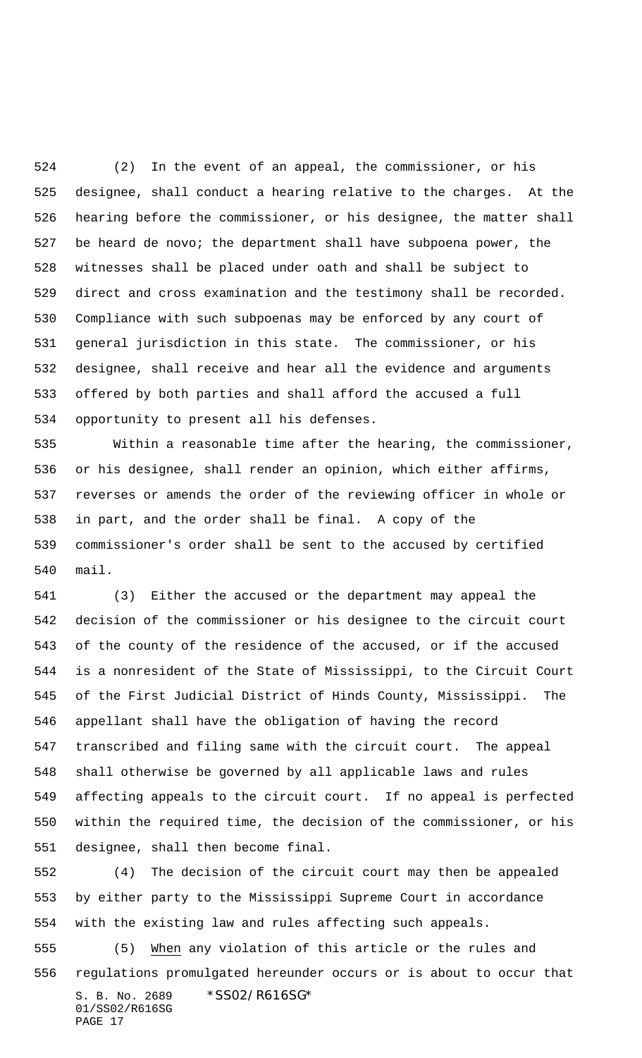(2) In the event of an appeal, the commissioner, or his designee, shall conduct a hearing relative to the charges. At the hearing before the commissioner, or his designee, the matter shall be heard de novo; the department shall have subpoena power, the witnesses shall be placed under oath and shall be subject to direct and cross examination and the testimony shall be recorded. Compliance with such subpoenas may be enforced by any court of general jurisdiction in this state. The commissioner, or his designee, shall receive and hear all the evidence and arguments offered by both parties and shall afford the accused a full opportunity to present all his defenses.

 Within a reasonable time after the hearing, the commissioner, or his designee, shall render an opinion, which either affirms, reverses or amends the order of the reviewing officer in whole or in part, and the order shall be final. A copy of the commissioner's order shall be sent to the accused by certified mail.

 (3) Either the accused or the department may appeal the decision of the commissioner or his designee to the circuit court of the county of the residence of the accused, or if the accused is a nonresident of the State of Mississippi, to the Circuit Court of the First Judicial District of Hinds County, Mississippi. The appellant shall have the obligation of having the record transcribed and filing same with the circuit court. The appeal shall otherwise be governed by all applicable laws and rules affecting appeals to the circuit court. If no appeal is perfected within the required time, the decision of the commissioner, or his designee, shall then become final.

 (4) The decision of the circuit court may then be appealed by either party to the Mississippi Supreme Court in accordance with the existing law and rules affecting such appeals.

S. B. No. 2689 \* SS02/R616SG\* 01/SS02/R616SG PAGE 17 (5) When any violation of this article or the rules and regulations promulgated hereunder occurs or is about to occur that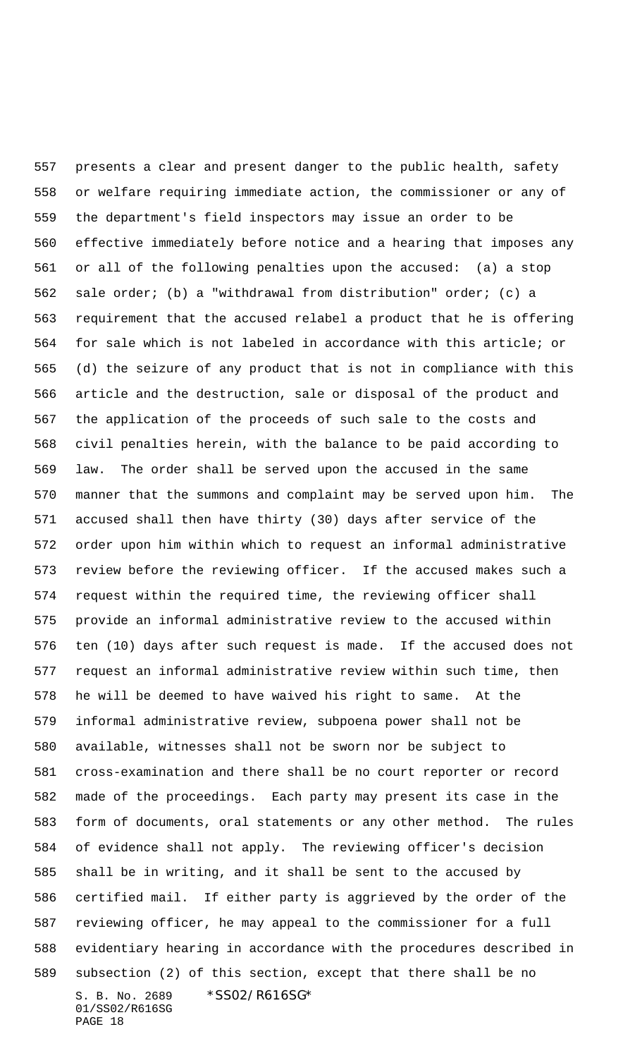S. B. No. 2689 \*SS02/R616SG\* 01/SS02/R616SG PAGE 18 presents a clear and present danger to the public health, safety or welfare requiring immediate action, the commissioner or any of the department's field inspectors may issue an order to be effective immediately before notice and a hearing that imposes any or all of the following penalties upon the accused: (a) a stop sale order; (b) a "withdrawal from distribution" order; (c) a requirement that the accused relabel a product that he is offering for sale which is not labeled in accordance with this article; or (d) the seizure of any product that is not in compliance with this article and the destruction, sale or disposal of the product and the application of the proceeds of such sale to the costs and civil penalties herein, with the balance to be paid according to law. The order shall be served upon the accused in the same manner that the summons and complaint may be served upon him. The accused shall then have thirty (30) days after service of the order upon him within which to request an informal administrative review before the reviewing officer. If the accused makes such a request within the required time, the reviewing officer shall provide an informal administrative review to the accused within ten (10) days after such request is made. If the accused does not request an informal administrative review within such time, then he will be deemed to have waived his right to same. At the informal administrative review, subpoena power shall not be available, witnesses shall not be sworn nor be subject to cross-examination and there shall be no court reporter or record made of the proceedings. Each party may present its case in the form of documents, oral statements or any other method. The rules of evidence shall not apply. The reviewing officer's decision shall be in writing, and it shall be sent to the accused by certified mail. If either party is aggrieved by the order of the reviewing officer, he may appeal to the commissioner for a full evidentiary hearing in accordance with the procedures described in subsection (2) of this section, except that there shall be no